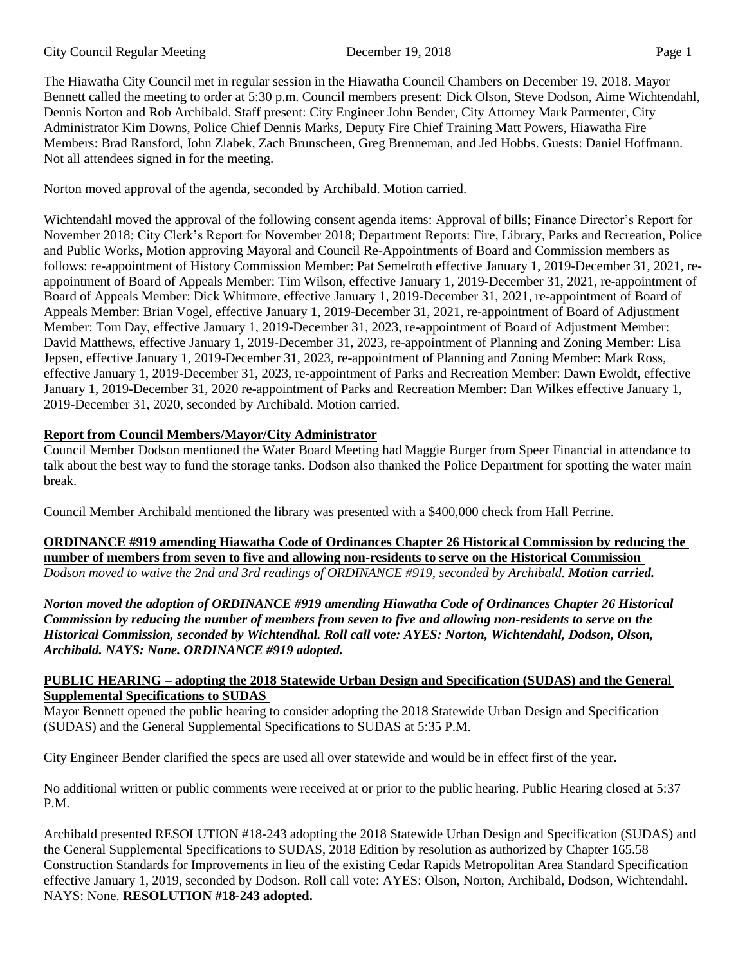#### City Council Regular Meeting December 19, 2018 Page 1

The Hiawatha City Council met in regular session in the Hiawatha Council Chambers on December 19, 2018. Mayor Bennett called the meeting to order at 5:30 p.m. Council members present: Dick Olson, Steve Dodson, Aime Wichtendahl, Dennis Norton and Rob Archibald. Staff present: City Engineer John Bender, City Attorney Mark Parmenter, City Administrator Kim Downs, Police Chief Dennis Marks, Deputy Fire Chief Training Matt Powers, Hiawatha Fire Members: Brad Ransford, John Zlabek, Zach Brunscheen, Greg Brenneman, and Jed Hobbs. Guests: Daniel Hoffmann. Not all attendees signed in for the meeting.

Norton moved approval of the agenda, seconded by Archibald. Motion carried.

Wichtendahl moved the approval of the following consent agenda items: Approval of bills; Finance Director's Report for November 2018; City Clerk's Report for November 2018; Department Reports: Fire, Library, Parks and Recreation, Police and Public Works, Motion approving Mayoral and Council Re-Appointments of Board and Commission members as follows: re-appointment of History Commission Member: Pat Semelroth effective January 1, 2019-December 31, 2021, reappointment of Board of Appeals Member: Tim Wilson, effective January 1, 2019-December 31, 2021, re-appointment of Board of Appeals Member: Dick Whitmore, effective January 1, 2019-December 31, 2021, re-appointment of Board of Appeals Member: Brian Vogel, effective January 1, 2019-December 31, 2021, re-appointment of Board of Adjustment Member: Tom Day, effective January 1, 2019-December 31, 2023, re-appointment of Board of Adjustment Member: David Matthews, effective January 1, 2019-December 31, 2023, re-appointment of Planning and Zoning Member: Lisa Jepsen, effective January 1, 2019-December 31, 2023, re-appointment of Planning and Zoning Member: Mark Ross, effective January 1, 2019-December 31, 2023, re-appointment of Parks and Recreation Member: Dawn Ewoldt, effective January 1, 2019-December 31, 2020 re-appointment of Parks and Recreation Member: Dan Wilkes effective January 1, 2019-December 31, 2020, seconded by Archibald. Motion carried.

### **Report from Council Members/Mayor/City Administrator**

Council Member Dodson mentioned the Water Board Meeting had Maggie Burger from Speer Financial in attendance to talk about the best way to fund the storage tanks. Dodson also thanked the Police Department for spotting the water main break.

Council Member Archibald mentioned the library was presented with a \$400,000 check from Hall Perrine.

**ORDINANCE #919 amending Hiawatha Code of Ordinances Chapter 26 Historical Commission by reducing the number of members from seven to five and allowing non-residents to serve on the Historical Commission** *Dodson moved to waive the 2nd and 3rd readings of ORDINANCE #919, seconded by Archibald. Motion carried.*

*Norton moved the adoption of ORDINANCE #919 amending Hiawatha Code of Ordinances Chapter 26 Historical Commission by reducing the number of members from seven to five and allowing non-residents to serve on the Historical Commission, seconded by Wichtendhal. Roll call vote: AYES: Norton, Wichtendahl, Dodson, Olson, Archibald. NAYS: None. ORDINANCE #919 adopted.*

### **PUBLIC HEARING – adopting the 2018 Statewide Urban Design and Specification (SUDAS) and the General Supplemental Specifications to SUDAS**

Mayor Bennett opened the public hearing to consider adopting the 2018 Statewide Urban Design and Specification (SUDAS) and the General Supplemental Specifications to SUDAS at 5:35 P.M.

City Engineer Bender clarified the specs are used all over statewide and would be in effect first of the year.

No additional written or public comments were received at or prior to the public hearing. Public Hearing closed at 5:37 P.M.

Archibald presented RESOLUTION #18-243 adopting the 2018 Statewide Urban Design and Specification (SUDAS) and the General Supplemental Specifications to SUDAS, 2018 Edition by resolution as authorized by Chapter 165.58 Construction Standards for Improvements in lieu of the existing Cedar Rapids Metropolitan Area Standard Specification effective January 1, 2019, seconded by Dodson. Roll call vote: AYES: Olson, Norton, Archibald, Dodson, Wichtendahl. NAYS: None. **RESOLUTION #18-243 adopted.**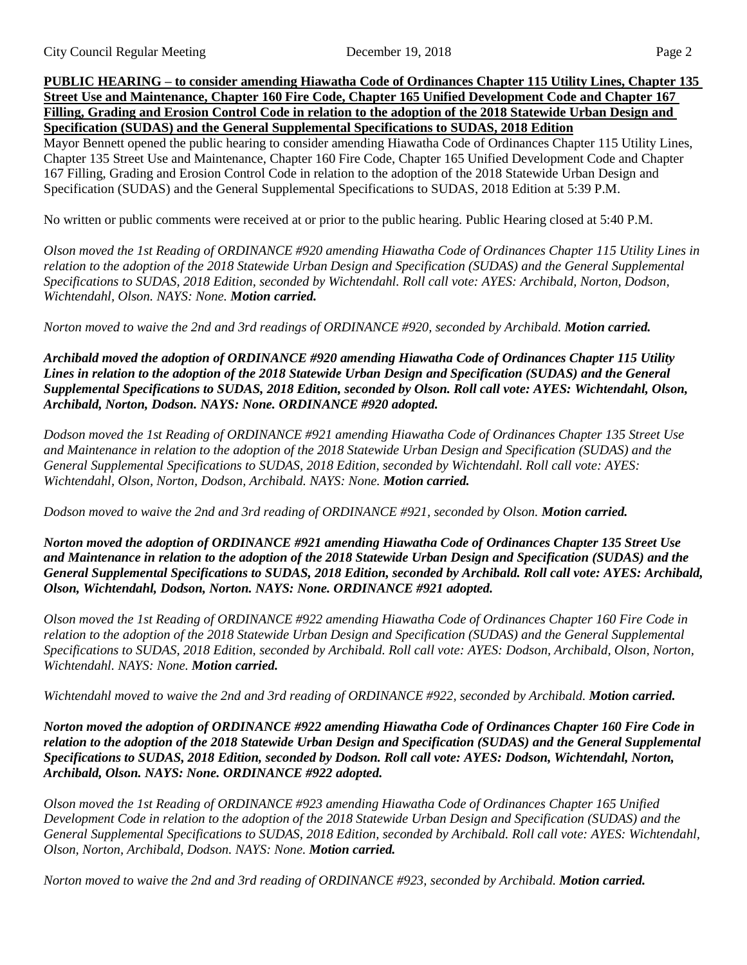**PUBLIC HEARING – to consider amending Hiawatha Code of Ordinances Chapter 115 Utility Lines, Chapter 135 Street Use and Maintenance, Chapter 160 Fire Code, Chapter 165 Unified Development Code and Chapter 167 Filling, Grading and Erosion Control Code in relation to the adoption of the 2018 Statewide Urban Design and Specification (SUDAS) and the General Supplemental Specifications to SUDAS, 2018 Edition**

Mayor Bennett opened the public hearing to consider amending Hiawatha Code of Ordinances Chapter 115 Utility Lines, Chapter 135 Street Use and Maintenance, Chapter 160 Fire Code, Chapter 165 Unified Development Code and Chapter 167 Filling, Grading and Erosion Control Code in relation to the adoption of the 2018 Statewide Urban Design and Specification (SUDAS) and the General Supplemental Specifications to SUDAS, 2018 Edition at 5:39 P.M.

No written or public comments were received at or prior to the public hearing. Public Hearing closed at 5:40 P.M.

*Olson moved the 1st Reading of ORDINANCE #920 amending Hiawatha Code of Ordinances Chapter 115 Utility Lines in relation to the adoption of the 2018 Statewide Urban Design and Specification (SUDAS) and the General Supplemental Specifications to SUDAS, 2018 Edition, seconded by Wichtendahl. Roll call vote: AYES: Archibald, Norton, Dodson, Wichtendahl, Olson. NAYS: None. Motion carried.*

*Norton moved to waive the 2nd and 3rd readings of ORDINANCE #920, seconded by Archibald. Motion carried.*

*Archibald moved the adoption of ORDINANCE #920 amending Hiawatha Code of Ordinances Chapter 115 Utility Lines in relation to the adoption of the 2018 Statewide Urban Design and Specification (SUDAS) and the General Supplemental Specifications to SUDAS, 2018 Edition, seconded by Olson. Roll call vote: AYES: Wichtendahl, Olson, Archibald, Norton, Dodson. NAYS: None. ORDINANCE #920 adopted.*

*Dodson moved the 1st Reading of ORDINANCE #921 amending Hiawatha Code of Ordinances Chapter 135 Street Use and Maintenance in relation to the adoption of the 2018 Statewide Urban Design and Specification (SUDAS) and the General Supplemental Specifications to SUDAS, 2018 Edition, seconded by Wichtendahl. Roll call vote: AYES: Wichtendahl, Olson, Norton, Dodson, Archibald. NAYS: None. Motion carried.* 

*Dodson moved to waive the 2nd and 3rd reading of ORDINANCE #921, seconded by Olson. Motion carried.* 

*Norton moved the adoption of ORDINANCE #921 amending Hiawatha Code of Ordinances Chapter 135 Street Use and Maintenance in relation to the adoption of the 2018 Statewide Urban Design and Specification (SUDAS) and the General Supplemental Specifications to SUDAS, 2018 Edition, seconded by Archibald. Roll call vote: AYES: Archibald, Olson, Wichtendahl, Dodson, Norton. NAYS: None. ORDINANCE #921 adopted.* 

*Olson moved the 1st Reading of ORDINANCE #922 amending Hiawatha Code of Ordinances Chapter 160 Fire Code in relation to the adoption of the 2018 Statewide Urban Design and Specification (SUDAS) and the General Supplemental Specifications to SUDAS, 2018 Edition, seconded by Archibald. Roll call vote: AYES: Dodson, Archibald, Olson, Norton, Wichtendahl. NAYS: None. Motion carried.* 

*Wichtendahl moved to waive the 2nd and 3rd reading of ORDINANCE #922, seconded by Archibald. Motion carried.* 

*Norton moved the adoption of ORDINANCE #922 amending Hiawatha Code of Ordinances Chapter 160 Fire Code in relation to the adoption of the 2018 Statewide Urban Design and Specification (SUDAS) and the General Supplemental Specifications to SUDAS, 2018 Edition, seconded by Dodson. Roll call vote: AYES: Dodson, Wichtendahl, Norton, Archibald, Olson. NAYS: None. ORDINANCE #922 adopted.* 

*Olson moved the 1st Reading of ORDINANCE #923 amending Hiawatha Code of Ordinances Chapter 165 Unified Development Code in relation to the adoption of the 2018 Statewide Urban Design and Specification (SUDAS) and the General Supplemental Specifications to SUDAS, 2018 Edition, seconded by Archibald. Roll call vote: AYES: Wichtendahl, Olson, Norton, Archibald, Dodson. NAYS: None. Motion carried.* 

*Norton moved to waive the 2nd and 3rd reading of ORDINANCE #923, seconded by Archibald. Motion carried.*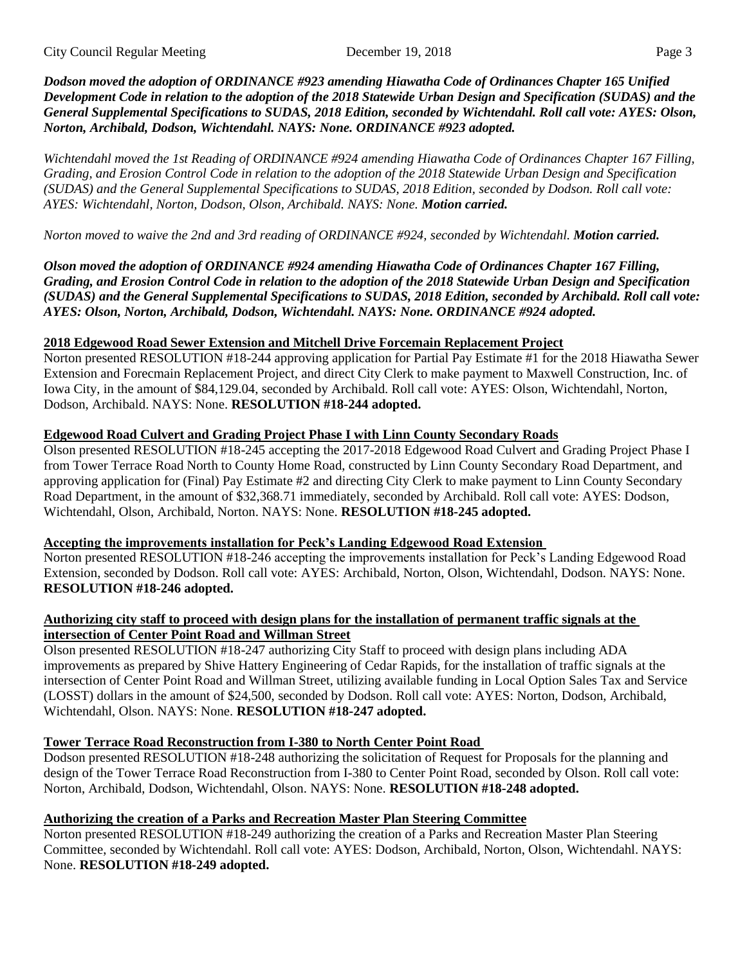*Dodson moved the adoption of ORDINANCE #923 amending Hiawatha Code of Ordinances Chapter 165 Unified Development Code in relation to the adoption of the 2018 Statewide Urban Design and Specification (SUDAS) and the General Supplemental Specifications to SUDAS, 2018 Edition, seconded by Wichtendahl. Roll call vote: AYES: Olson, Norton, Archibald, Dodson, Wichtendahl. NAYS: None. ORDINANCE #923 adopted.* 

*Wichtendahl moved the 1st Reading of ORDINANCE #924 amending Hiawatha Code of Ordinances Chapter 167 Filling, Grading, and Erosion Control Code in relation to the adoption of the 2018 Statewide Urban Design and Specification (SUDAS) and the General Supplemental Specifications to SUDAS, 2018 Edition, seconded by Dodson. Roll call vote: AYES: Wichtendahl, Norton, Dodson, Olson, Archibald. NAYS: None. Motion carried.* 

*Norton moved to waive the 2nd and 3rd reading of ORDINANCE #924, seconded by Wichtendahl. Motion carried.* 

*Olson moved the adoption of ORDINANCE #924 amending Hiawatha Code of Ordinances Chapter 167 Filling, Grading, and Erosion Control Code in relation to the adoption of the 2018 Statewide Urban Design and Specification (SUDAS) and the General Supplemental Specifications to SUDAS, 2018 Edition, seconded by Archibald. Roll call vote: AYES: Olson, Norton, Archibald, Dodson, Wichtendahl. NAYS: None. ORDINANCE #924 adopted.* 

## **2018 Edgewood Road Sewer Extension and Mitchell Drive Forcemain Replacement Project**

Norton presented RESOLUTION #18-244 approving application for Partial Pay Estimate #1 for the 2018 Hiawatha Sewer Extension and Forecmain Replacement Project, and direct City Clerk to make payment to Maxwell Construction, Inc. of Iowa City, in the amount of \$84,129.04, seconded by Archibald. Roll call vote: AYES: Olson, Wichtendahl, Norton, Dodson, Archibald. NAYS: None. **RESOLUTION #18-244 adopted.**

## **Edgewood Road Culvert and Grading Project Phase I with Linn County Secondary Roads**

Olson presented RESOLUTION #18-245 accepting the 2017-2018 Edgewood Road Culvert and Grading Project Phase I from Tower Terrace Road North to County Home Road, constructed by Linn County Secondary Road Department, and approving application for (Final) Pay Estimate #2 and directing City Clerk to make payment to Linn County Secondary Road Department, in the amount of \$32,368.71 immediately, seconded by Archibald. Roll call vote: AYES: Dodson, Wichtendahl, Olson, Archibald, Norton. NAYS: None. **RESOLUTION #18-245 adopted.** 

### **Accepting the improvements installation for Peck's Landing Edgewood Road Extension**

Norton presented RESOLUTION #18-246 accepting the improvements installation for Peck's Landing Edgewood Road Extension, seconded by Dodson. Roll call vote: AYES: Archibald, Norton, Olson, Wichtendahl, Dodson. NAYS: None. **RESOLUTION #18-246 adopted.** 

### **Authorizing city staff to proceed with design plans for the installation of permanent traffic signals at the intersection of Center Point Road and Willman Street**

Olson presented RESOLUTION #18-247 authorizing City Staff to proceed with design plans including ADA improvements as prepared by Shive Hattery Engineering of Cedar Rapids, for the installation of traffic signals at the intersection of Center Point Road and Willman Street, utilizing available funding in Local Option Sales Tax and Service (LOSST) dollars in the amount of \$24,500, seconded by Dodson. Roll call vote: AYES: Norton, Dodson, Archibald, Wichtendahl, Olson. NAYS: None. **RESOLUTION #18-247 adopted.** 

# **Tower Terrace Road Reconstruction from I-380 to North Center Point Road**

Dodson presented RESOLUTION #18-248 authorizing the solicitation of Request for Proposals for the planning and design of the Tower Terrace Road Reconstruction from I-380 to Center Point Road, seconded by Olson. Roll call vote: Norton, Archibald, Dodson, Wichtendahl, Olson. NAYS: None. **RESOLUTION #18-248 adopted.** 

# **Authorizing the creation of a Parks and Recreation Master Plan Steering Committee**

Norton presented RESOLUTION #18-249 authorizing the creation of a Parks and Recreation Master Plan Steering Committee, seconded by Wichtendahl. Roll call vote: AYES: Dodson, Archibald, Norton, Olson, Wichtendahl. NAYS: None. **RESOLUTION #18-249 adopted.**